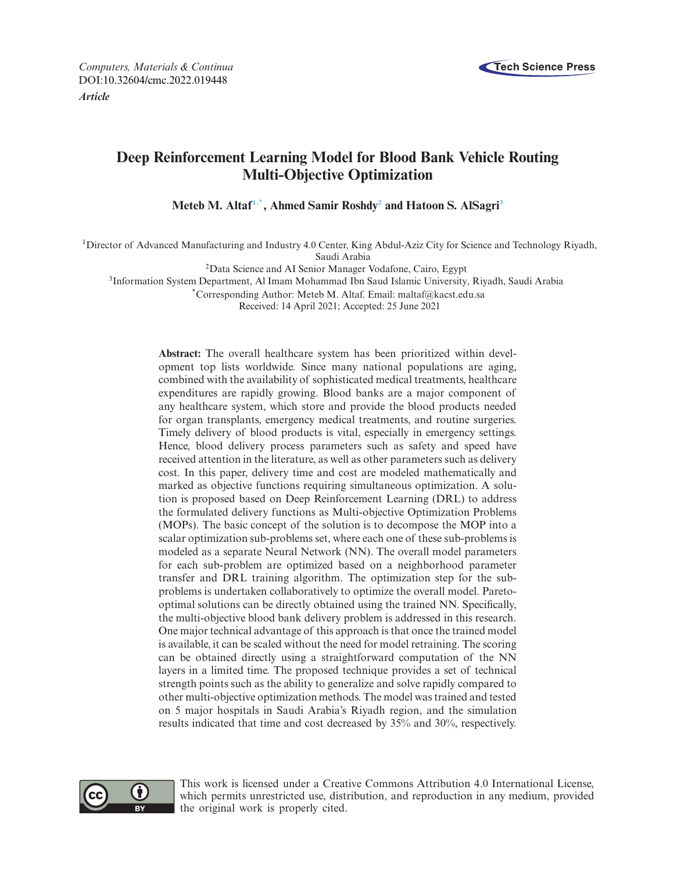

# **Deep Reinforcement Learning Model for Blood Bank Vehicle Routing Multi-Objective Optimization**

**Meteb M. Altaf[1,](#page-0-0)[\\*,](#page-0-1) Ahmed Samir Roshd[y2](#page-0-2) and Hatoon S. AlSagr[i3](#page-0-3)**

<span id="page-0-0"></span>1Director of Advanced Manufacturing and Industry 4.0 Center, King Abdul-Aziz City for Science and Technology Riyadh, Saudi Arabia

<span id="page-0-2"></span>2Data Science and AI Senior Manager Vodafone, Cairo, Egypt

<span id="page-0-3"></span>3Information System Department, Al Imam Mohammad Ibn Saud Islamic University, Riyadh, Saudi Arabia

<span id="page-0-1"></span>\*Corresponding Author: Meteb M. Altaf. Email: maltaf@kacst.edu.sa

Received: 14 April 2021; Accepted: 25 June 2021

**Abstract:** The overall healthcare system has been prioritized within development top lists worldwide. Since many national populations are aging, combined with the availability of sophisticated medical treatments, healthcare expenditures are rapidly growing. Blood banks are a major component of any healthcare system, which store and provide the blood products needed for organ transplants, emergency medical treatments, and routine surgeries. Timely delivery of blood products is vital, especially in emergency settings. Hence, blood delivery process parameters such as safety and speed have received attention in the literature, as well as other parameters such as delivery cost. In this paper, delivery time and cost are modeled mathematically and marked as objective functions requiring simultaneous optimization. A solution is proposed based on Deep Reinforcement Learning (DRL) to address the formulated delivery functions as Multi-objective Optimization Problems (MOPs). The basic concept of the solution is to decompose the MOP into a scalar optimization sub-problems set, where each one of these sub-problems is modeled as a separate Neural Network (NN). The overall model parameters for each sub-problem are optimized based on a neighborhood parameter transfer and DRL training algorithm. The optimization step for the subproblems is undertaken collaboratively to optimize the overall model. Paretooptimal solutions can be directly obtained using the trained NN. Specifically, the multi-objective blood bank delivery problem is addressed in this research. One major technical advantage of this approach is that once the trained model is available, it can be scaled without the need for model retraining. The scoring can be obtained directly using a straightforward computation of the NN layers in a limited time. The proposed technique provides a set of technical strength points such as the ability to generalize and solve rapidly compared to other multi-objective optimization methods. The model was trained and tested on 5 major hospitals in Saudi Arabia's Riyadh region, and the simulation results indicated that time and cost decreased by 35% and 30%, respectively.



This work is licensed under a Creative Commons Attribution 4.0 International License, which permits unrestricted use, distribution, and reproduction in any medium, provided the original work is properly cited.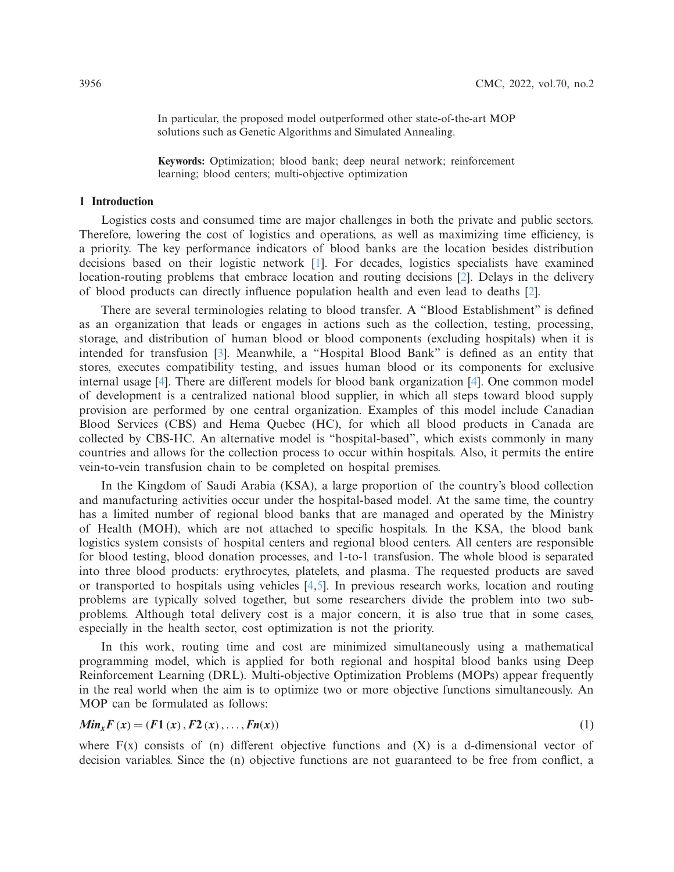In particular, the proposed model outperformed other state-of-the-art MOP solutions such as Genetic Algorithms and Simulated Annealing.

**Keywords:** Optimization; blood bank; deep neural network; reinforcement learning; blood centers; multi-objective optimization

### **1 Introduction**

Logistics costs and consumed time are major challenges in both the private and public sectors. Therefore, lowering the cost of logistics and operations, as well as maximizing time efficiency, is a priority. The key performance indicators of blood banks are the location besides distribution decisions based on their logistic network [\[1\]](#page-10-0). For decades, logistics specialists have examined location-routing problems that embrace location and routing decisions [\[2](#page-10-1)]. Delays in the delivery of blood products can directly influence population health and even lead to deaths [\[2\]](#page-10-1).

There are several terminologies relating to blood transfer. A "Blood Establishment" is defined as an organization that leads or engages in actions such as the collection, testing, processing, storage, and distribution of human blood or blood components (excluding hospitals) when it is intended for transfusion [\[3](#page-10-2)]. Meanwhile, a "Hospital Blood Bank" is defined as an entity that stores, executes compatibility testing, and issues human blood or its components for exclusive internal usage [\[4\]](#page-10-3). There are different models for blood bank organization [\[4\]](#page-10-3). One common model of development is a centralized national blood supplier, in which all steps toward blood supply provision are performed by one central organization. Examples of this model include Canadian Blood Services (CBS) and Hema Quebec (HC), for which all blood products in Canada are collected by CBS-HC. An alternative model is "hospital-based", which exists commonly in many countries and allows for the collection process to occur within hospitals. Also, it permits the entire vein-to-vein transfusion chain to be completed on hospital premises.

In the Kingdom of Saudi Arabia (KSA), a large proportion of the country's blood collection and manufacturing activities occur under the hospital-based model. At the same time, the country has a limited number of regional blood banks that are managed and operated by the Ministry of Health (MOH), which are not attached to specific hospitals. In the KSA, the blood bank logistics system consists of hospital centers and regional blood centers. All centers are responsible for blood testing, blood donation processes, and 1-to-1 transfusion. The whole blood is separated into three blood products: erythrocytes, platelets, and plasma. The requested products are saved or transported to hospitals using vehicles [\[4](#page-10-3)[,5\]](#page-10-4). In previous research works, location and routing problems are typically solved together, but some researchers divide the problem into two subproblems. Although total delivery cost is a major concern, it is also true that in some cases, especially in the health sector, cost optimization is not the priority.

In this work, routing time and cost are minimized simultaneously using a mathematical programming model, which is applied for both regional and hospital blood banks using Deep Reinforcement Learning (DRL). Multi-objective Optimization Problems (MOPs) appear frequently in the real world when the aim is to optimize two or more objective functions simultaneously. An MOP can be formulated as follows:

$$
Min_{x}F(x) = (F1(x), F2(x), ..., Fn(x))
$$
\n(1)

where  $F(x)$  consists of (n) different objective functions and  $(X)$  is a d-dimensional vector of decision variables. Since the (n) objective functions are not guaranteed to be free from conflict, a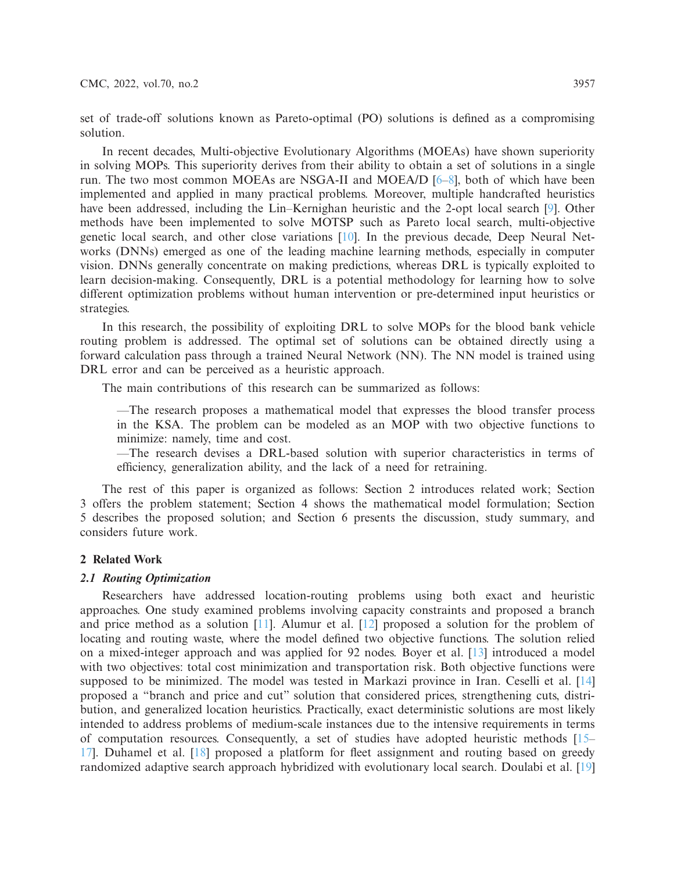set of trade-off solutions known as Pareto-optimal (PO) solutions is defined as a compromising solution.

In recent decades, Multi-objective Evolutionary Algorithms (MOEAs) have shown superiority in solving MOPs. This superiority derives from their ability to obtain a set of solutions in a single run. The two most common MOEAs are NSGA-II and MOEA/D [\[6](#page-10-5)[–8\]](#page-10-6), both of which have been implemented and applied in many practical problems. Moreover, multiple handcrafted heuristics have been addressed, including the Lin–Kernighan heuristic and the 2-opt local search [\[9](#page-10-7)]. Other methods have been implemented to solve MOTSP such as Pareto local search, multi-objective genetic local search, and other close variations [\[10\]](#page-11-0). In the previous decade, Deep Neural Networks (DNNs) emerged as one of the leading machine learning methods, especially in computer vision. DNNs generally concentrate on making predictions, whereas DRL is typically exploited to learn decision-making. Consequently, DRL is a potential methodology for learning how to solve different optimization problems without human intervention or pre-determined input heuristics or strategies.

In this research, the possibility of exploiting DRL to solve MOPs for the blood bank vehicle routing problem is addressed. The optimal set of solutions can be obtained directly using a forward calculation pass through a trained Neural Network (NN). The NN model is trained using DRL error and can be perceived as a heuristic approach.

The main contributions of this research can be summarized as follows:

—The research proposes a mathematical model that expresses the blood transfer process in the KSA. The problem can be modeled as an MOP with two objective functions to minimize: namely, time and cost.

—The research devises a DRL-based solution with superior characteristics in terms of efficiency, generalization ability, and the lack of a need for retraining.

The rest of this paper is organized as follows: Section 2 introduces related work; Section 3 offers the problem statement; Section 4 shows the mathematical model formulation; Section 5 describes the proposed solution; and Section 6 presents the discussion, study summary, and considers future work.

## **2 Related Work**

#### *2.1 Routing Optimization*

Researchers have addressed location-routing problems using both exact and heuristic approaches. One study examined problems involving capacity constraints and proposed a branch and price method as a solution [\[11\]](#page-11-1). Alumur et al. [\[12](#page-11-2)] proposed a solution for the problem of locating and routing waste, where the model defined two objective functions. The solution relied on a mixed-integer approach and was applied for 92 nodes. Boyer et al. [\[13\]](#page-11-3) introduced a model with two objectives: total cost minimization and transportation risk. Both objective functions were supposed to be minimized. The model was tested in Markazi province in Iran. Ceselli et al. [\[14\]](#page-11-4) proposed a "branch and price and cut" solution that considered prices, strengthening cuts, distribution, and generalized location heuristics. Practically, exact deterministic solutions are most likely intended to address problems of medium-scale instances due to the intensive requirements in terms of computation resources. Consequently, a set of studies have adopted heuristic methods [\[15](#page-11-5)– [17\]](#page-11-6). Duhamel et al. [\[18](#page-11-7)] proposed a platform for fleet assignment and routing based on greedy randomized adaptive search approach hybridized with evolutionary local search. Doulabi et al. [\[19\]](#page-11-8)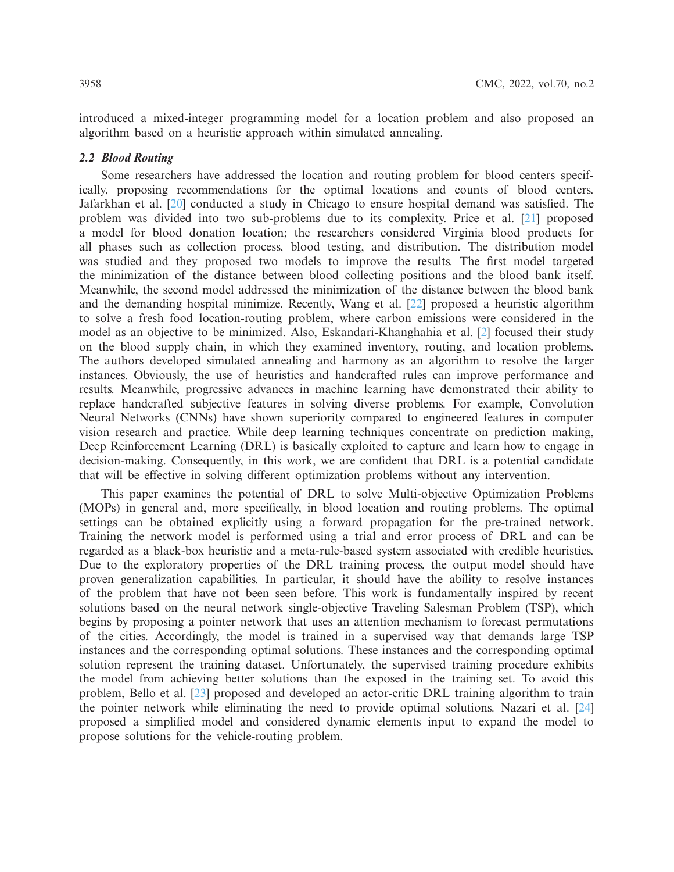introduced a mixed-integer programming model for a location problem and also proposed an algorithm based on a heuristic approach within simulated annealing.

## *2.2 Blood Routing*

Some researchers have addressed the location and routing problem for blood centers specifically, proposing recommendations for the optimal locations and counts of blood centers. Jafarkhan et al. [\[20\]](#page-11-9) conducted a study in Chicago to ensure hospital demand was satisfied. The problem was divided into two sub-problems due to its complexity. Price et al. [\[21\]](#page-11-10) proposed a model for blood donation location; the researchers considered Virginia blood products for all phases such as collection process, blood testing, and distribution. The distribution model was studied and they proposed two models to improve the results. The first model targeted the minimization of the distance between blood collecting positions and the blood bank itself. Meanwhile, the second model addressed the minimization of the distance between the blood bank and the demanding hospital minimize. Recently, Wang et al. [\[22\]](#page-11-11) proposed a heuristic algorithm to solve a fresh food location-routing problem, where carbon emissions were considered in the model as an objective to be minimized. Also, Eskandari-Khanghahia et al. [\[2\]](#page-10-1) focused their study on the blood supply chain, in which they examined inventory, routing, and location problems. The authors developed simulated annealing and harmony as an algorithm to resolve the larger instances. Obviously, the use of heuristics and handcrafted rules can improve performance and results. Meanwhile, progressive advances in machine learning have demonstrated their ability to replace handcrafted subjective features in solving diverse problems. For example, Convolution Neural Networks (CNNs) have shown superiority compared to engineered features in computer vision research and practice. While deep learning techniques concentrate on prediction making, Deep Reinforcement Learning (DRL) is basically exploited to capture and learn how to engage in decision-making. Consequently, in this work, we are confident that DRL is a potential candidate that will be effective in solving different optimization problems without any intervention.

This paper examines the potential of DRL to solve Multi-objective Optimization Problems (MOPs) in general and, more specifically, in blood location and routing problems. The optimal settings can be obtained explicitly using a forward propagation for the pre-trained network. Training the network model is performed using a trial and error process of DRL and can be regarded as a black-box heuristic and a meta-rule-based system associated with credible heuristics. Due to the exploratory properties of the DRL training process, the output model should have proven generalization capabilities. In particular, it should have the ability to resolve instances of the problem that have not been seen before. This work is fundamentally inspired by recent solutions based on the neural network single-objective Traveling Salesman Problem (TSP), which begins by proposing a pointer network that uses an attention mechanism to forecast permutations of the cities. Accordingly, the model is trained in a supervised way that demands large TSP instances and the corresponding optimal solutions. These instances and the corresponding optimal solution represent the training dataset. Unfortunately, the supervised training procedure exhibits the model from achieving better solutions than the exposed in the training set. To avoid this problem, Bello et al. [\[23](#page-11-12)] proposed and developed an actor-critic DRL training algorithm to train the pointer network while eliminating the need to provide optimal solutions. Nazari et al. [\[24\]](#page-11-13) proposed a simplified model and considered dynamic elements input to expand the model to propose solutions for the vehicle-routing problem.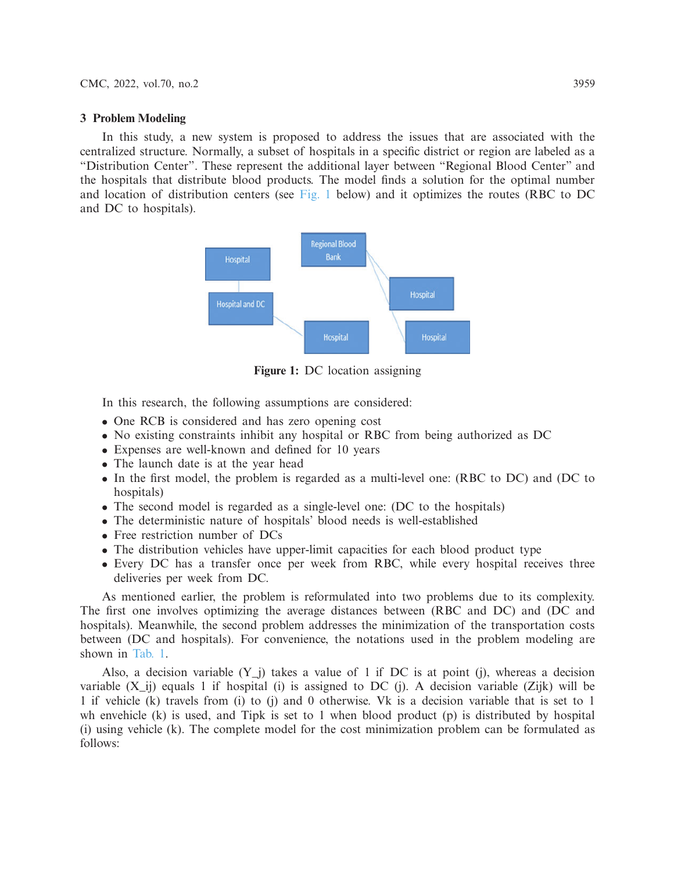#### **3 Problem Modeling**

In this study, a new system is proposed to address the issues that are associated with the centralized structure. Normally, a subset of hospitals in a specific district or region are labeled as a "Distribution Center". These represent the additional layer between "Regional Blood Center" and the hospitals that distribute blood products. The model finds a solution for the optimal number and location of distribution centers (see [Fig. 1](#page-4-0) below) and it optimizes the routes (RBC to DC and DC to hospitals).



<span id="page-4-0"></span>**Figure 1:** DC location assigning

In this research, the following assumptions are considered:

- One RCB is considered and has zero opening cost
- No existing constraints inhibit any hospital or RBC from being authorized as DC
- Expenses are well-known and defined for 10 years
- The launch date is at the year head
- In the first model, the problem is regarded as a multi-level one: (RBC to DC) and (DC to hospitals)
- The second model is regarded as a single-level one: (DC to the hospitals)
- The deterministic nature of hospitals' blood needs is well-established
- Free restriction number of DCs
- The distribution vehicles have upper-limit capacities for each blood product type
- Every DC has a transfer once per week from RBC, while every hospital receives three deliveries per week from DC.

As mentioned earlier, the problem is reformulated into two problems due to its complexity. The first one involves optimizing the average distances between (RBC and DC) and (DC and hospitals). Meanwhile, the second problem addresses the minimization of the transportation costs between (DC and hospitals). For convenience, the notations used in the problem modeling are shown in [Tab. 1.](#page-5-0)

Also, a decision variable  $(Y_i)$  takes a value of 1 if DC is at point (j), whereas a decision variable  $(X_i$  i) equals 1 if hospital (i) is assigned to DC (j). A decision variable (Zijk) will be 1 if vehicle (k) travels from (i) to (j) and 0 otherwise. Vk is a decision variable that is set to 1 wh envehicle  $(k)$  is used, and Tipk is set to 1 when blood product  $(p)$  is distributed by hospital (i) using vehicle (k). The complete model for the cost minimization problem can be formulated as follows: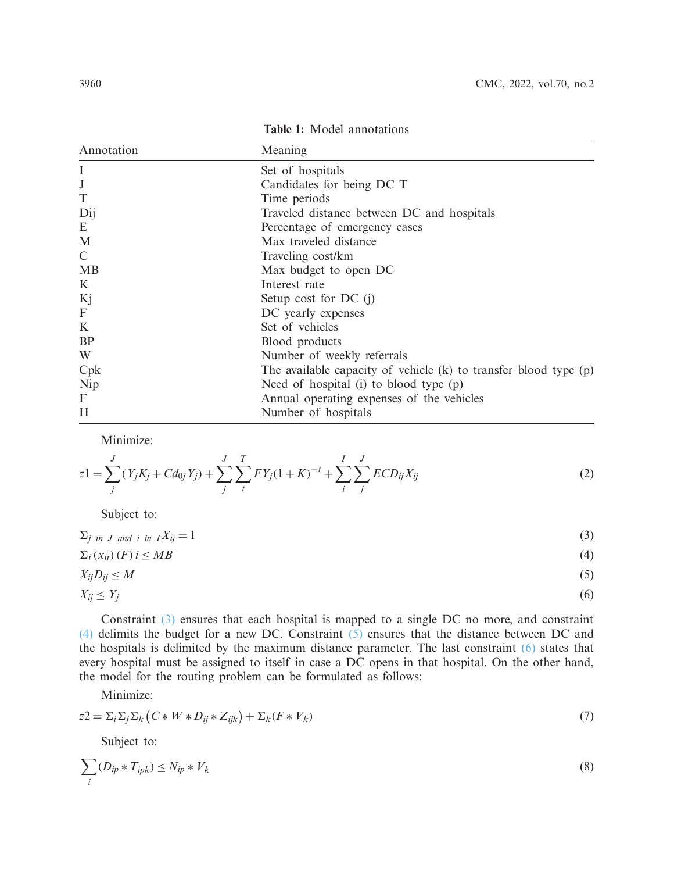<span id="page-5-0"></span>

| Annotation                | Meaning                                                              |
|---------------------------|----------------------------------------------------------------------|
| I                         | Set of hospitals                                                     |
| $\bf J$                   | Candidates for being DC T                                            |
| T                         | Time periods                                                         |
| Dij                       | Traveled distance between DC and hospitals                           |
| E                         | Percentage of emergency cases                                        |
| M                         | Max traveled distance                                                |
| $\mathcal{C}$             | Traveling cost/km                                                    |
| <b>MB</b>                 | Max budget to open DC                                                |
| K                         | Interest rate                                                        |
| Kj                        | Setup cost for $DC$ (j)                                              |
| $\boldsymbol{\mathrm{F}}$ | DC yearly expenses                                                   |
| K                         | Set of vehicles                                                      |
| <b>BP</b>                 | Blood products                                                       |
| W                         | Number of weekly referrals                                           |
| Cpk                       | The available capacity of vehicle $(k)$ to transfer blood type $(p)$ |
| Nip                       | Need of hospital (i) to blood type (p)                               |
| F                         | Annual operating expenses of the vehicles                            |
| Η                         | Number of hospitals                                                  |

**Table 1:** Model annotations

<span id="page-5-6"></span>Minimize:

$$
z1 = \sum_{j}^{J} (Y_j K_j + C d_{0j} Y_j) + \sum_{j}^{J} \sum_{t}^{T} FY_j (1 + K)^{-t} + \sum_{i}^{I} \sum_{j}^{J} ECD_{ij} X_{ij}
$$
(2)

<span id="page-5-4"></span><span id="page-5-3"></span><span id="page-5-2"></span><span id="page-5-1"></span>Subject to:

$$
\Sigma_j \text{ in } J \text{ and } i \text{ in } I X_{ij} = 1 \tag{3}
$$

$$
\sum_{i}(x_{ii})(F)i \le MB \tag{4}
$$

$$
X_{ij}D_{ij} \leq M \tag{5}
$$

$$
X_{ij} \le Y_j \tag{6}
$$

Constraint [\(3\)](#page-5-1) ensures that each hospital is mapped to a single DC no more, and constraint [\(4\)](#page-5-2) delimits the budget for a new DC. Constraint  $(5)$  ensures that the distance between DC and the hospitals is delimited by the maximum distance parameter. The last constraint [\(6\)](#page-5-4) states that every hospital must be assigned to itself in case a DC opens in that hospital. On the other hand, the model for the routing problem can be formulated as follows:

Minimize:

$$
z2 = \sum_{i} \sum_{j} \sum_{k} \left( C \ast W \ast D_{ij} \ast Z_{ijk} \right) + \sum_{k} \left( F \ast V_{k} \right) \tag{7}
$$

<span id="page-5-5"></span>Subject to:

$$
\sum_{i} (D_{ip} * T_{ipk}) \le N_{ip} * V_k
$$
\n(8)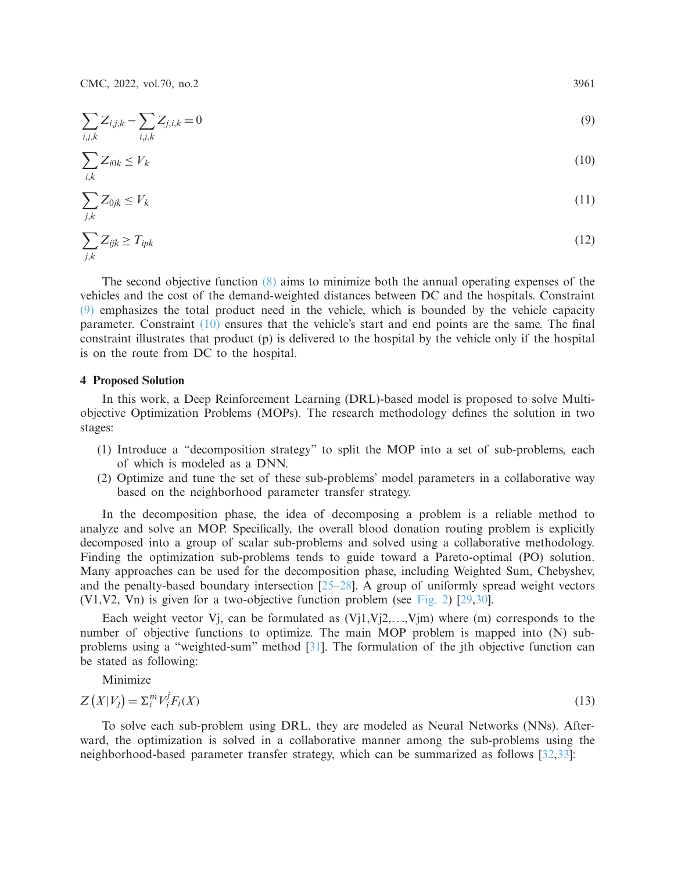CMC, 2022, vol.70, no.2 3961

$$
\sum_{i,j,k} Z_{i,j,k} - \sum_{i,j,k} Z_{j,i,k} = 0
$$
\n(9)

$$
\sum_{i,k} Z_{i0k} \le V_k \tag{10}
$$

$$
\sum_{j,k} Z_{0jk} \le V_k \tag{11}
$$

$$
\sum_{j,k} Z_{ijk} \ge T_{ipk} \tag{12}
$$

The second objective function [\(8\)](#page-5-5) aims to minimize both the annual operating expenses of the vehicles and the cost of the demand-weighted distances between DC and the hospitals. Constraint [\(9\)](#page-6-0) emphasizes the total product need in the vehicle, which is bounded by the vehicle capacity parameter. Constraint  $(10)$  ensures that the vehicle's start and end points are the same. The final constraint illustrates that product (p) is delivered to the hospital by the vehicle only if the hospital is on the route from DC to the hospital.

## **4 Proposed Solution**

In this work, a Deep Reinforcement Learning (DRL)-based model is proposed to solve Multiobjective Optimization Problems (MOPs). The research methodology defines the solution in two stages:

- (1) Introduce a "decomposition strategy" to split the MOP into a set of sub-problems, each of which is modeled as a DNN.
- (2) Optimize and tune the set of these sub-problems' model parameters in a collaborative way based on the neighborhood parameter transfer strategy.

In the decomposition phase, the idea of decomposing a problem is a reliable method to analyze and solve an MOP. Specifically, the overall blood donation routing problem is explicitly decomposed into a group of scalar sub-problems and solved using a collaborative methodology. Finding the optimization sub-problems tends to guide toward a Pareto-optimal (PO) solution. Many approaches can be used for the decomposition phase, including Weighted Sum, Chebyshev, and the penalty-based boundary intersection [\[25](#page-11-14)[–28\]](#page-11-15). A group of uniformly spread weight vectors (V1,V2, Vn) is given for a two-objective function problem (see [Fig. 2\)](#page-7-0) [\[29](#page-11-16)[,30](#page-11-17)].

Each weight vector V<sub>j</sub>, can be formulated as  $(V_1, V_2, \ldots, V_m)$  where  $(m)$  corresponds to the number of objective functions to optimize. The main MOP problem is mapped into (N) subproblems using a "weighted-sum" method [\[31\]](#page-11-18). The formulation of the jth objective function can be stated as following:

<span id="page-6-2"></span>Minimize

$$
Z(X|V_j) = \sum_{i}^{m} V_i^j F_i(X)
$$
\n(13)

To solve each sub-problem using DRL, they are modeled as Neural Networks (NNs). Afterward, the optimization is solved in a collaborative manner among the sub-problems using the neighborhood-based parameter transfer strategy, which can be summarized as follows [\[32](#page-12-0)[,33](#page-12-1)]:

<span id="page-6-1"></span><span id="page-6-0"></span>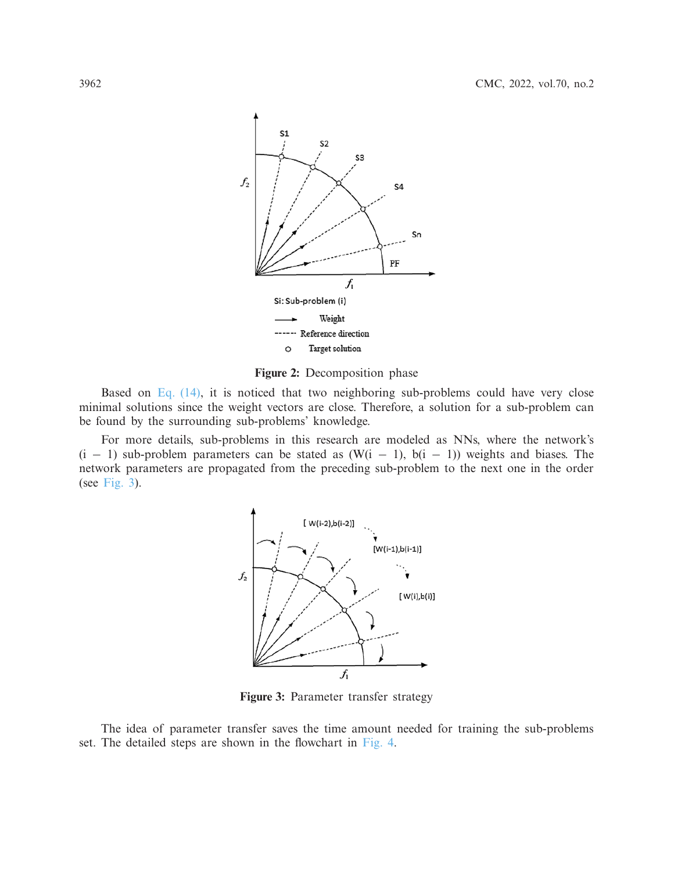

<span id="page-7-0"></span>**Figure 2:** Decomposition phase

Based on [Eq. \(14\),](#page-8-0) it is noticed that two neighboring sub-problems could have very close minimal solutions since the weight vectors are close. Therefore, a solution for a sub-problem can be found by the surrounding sub-problems' knowledge.

For more details, sub-problems in this research are modeled as NNs, where the network's  $(i - 1)$  sub-problem parameters can be stated as  $(W(i - 1), b(i - 1))$  weights and biases. The network parameters are propagated from the preceding sub-problem to the next one in the order (see [Fig. 3\)](#page-7-1).



<span id="page-7-1"></span>**Figure 3:** Parameter transfer strategy

The idea of parameter transfer saves the time amount needed for training the sub-problems set. The detailed steps are shown in the flowchart in [Fig. 4.](#page-8-1)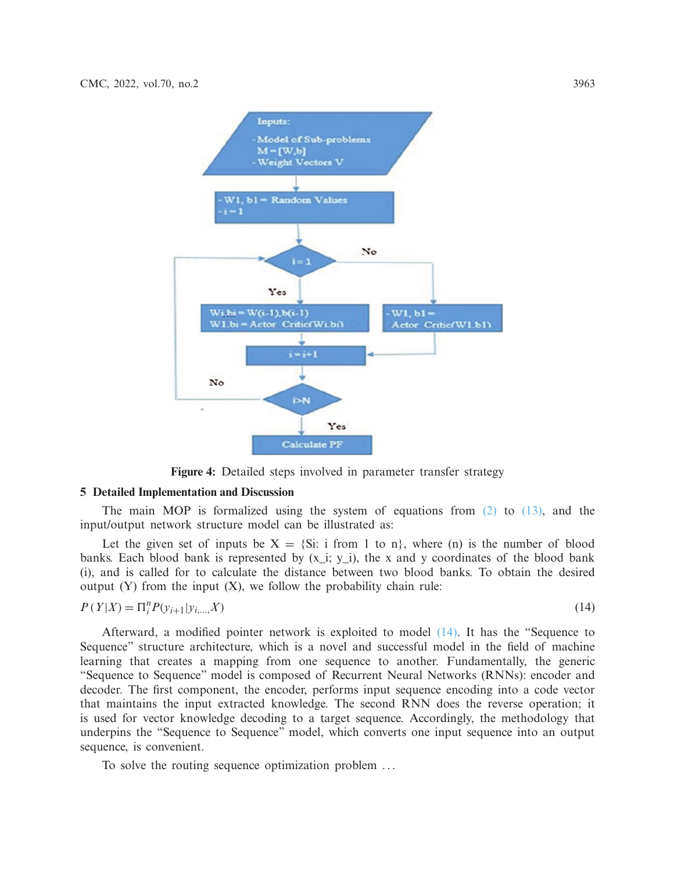

**Figure 4:** Detailed steps involved in parameter transfer strategy

## **5 Detailed Implementation and Discussion**

The main MOP is formalized using the system of equations from  $(2)$  to  $(13)$ , and the input/output network structure model can be illustrated as:

Let the given set of inputs be  $X = \{Si: i \text{ from } 1 \text{ to } n\}$ , where (n) is the number of blood banks. Each blood bank is represented by  $(x_i; y_i)$ , the x and y coordinates of the blood bank (i), and is called for to calculate the distance between two blood banks. To obtain the desired output  $(Y)$  from the input  $(X)$ , we follow the probability chain rule:

$$
P(Y|X) = \Pi_i^n P(y_{i+1}|y_{i,\dots,X})
$$
\n(14)

<span id="page-8-1"></span><span id="page-8-0"></span>

Afterward, a modified pointer network is exploited to model [\(14\).](#page-8-0) It has the "Sequence to Sequence" structure architecture, which is a novel and successful model in the field of machine learning that creates a mapping from one sequence to another. Fundamentally, the generic "Sequence to Sequence" model is composed of Recurrent Neural Networks (RNNs): encoder and decoder. The first component, the encoder, performs input sequence encoding into a code vector that maintains the input extracted knowledge. The second RNN does the reverse operation; it is used for vector knowledge decoding to a target sequence. Accordingly, the methodology that underpins the "Sequence to Sequence" model, which converts one input sequence into an output sequence, is convenient.

To solve the routing sequence optimization problem ...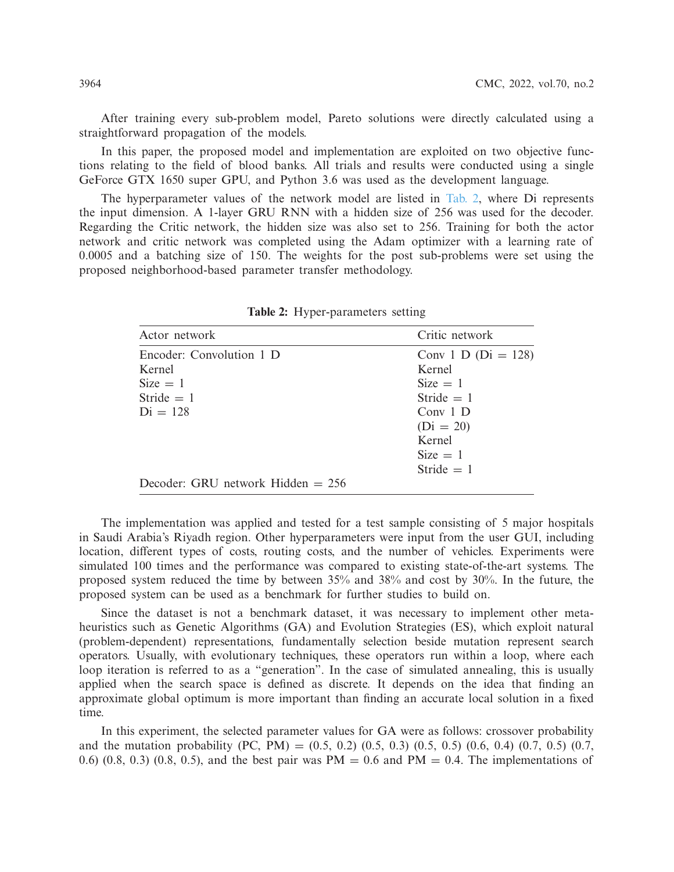After training every sub-problem model, Pareto solutions were directly calculated using a straightforward propagation of the models.

In this paper, the proposed model and implementation are exploited on two objective functions relating to the field of blood banks. All trials and results were conducted using a single GeForce GTX 1650 super GPU, and Python 3.6 was used as the development language.

The hyperparameter values of the network model are listed in [Tab. 2,](#page-9-0) where Di represents the input dimension. A 1-layer GRU RNN with a hidden size of 256 was used for the decoder. Regarding the Critic network, the hidden size was also set to 256. Training for both the actor network and critic network was completed using the Adam optimizer with a learning rate of 0.0005 and a batching size of 150. The weights for the post sub-problems were set using the proposed neighborhood-based parameter transfer methodology.

<span id="page-9-0"></span>

| Actor network                       | Critic network        |
|-------------------------------------|-----------------------|
| Encoder: Convolution 1 D            | Conv 1 D $(Di = 128)$ |
| Kernel                              | Kernel                |
| $Size = 1$                          | $Size = 1$            |
| Stride $= 1$                        | Stride $= 1$          |
| $Di = 128$                          | Conv $1\,D$           |
|                                     | $(Di = 20)$           |
|                                     | Kernel                |
|                                     | $Size = 1$            |
|                                     | Stride $= 1$          |
| Decoder: GRU network Hidden $= 256$ |                       |

**Table 2:** Hyper-parameters setting

The implementation was applied and tested for a test sample consisting of 5 major hospitals in Saudi Arabia's Riyadh region. Other hyperparameters were input from the user GUI, including location, different types of costs, routing costs, and the number of vehicles. Experiments were simulated 100 times and the performance was compared to existing state-of-the-art systems. The proposed system reduced the time by between 35% and 38% and cost by 30%. In the future, the proposed system can be used as a benchmark for further studies to build on.

Since the dataset is not a benchmark dataset, it was necessary to implement other metaheuristics such as Genetic Algorithms (GA) and Evolution Strategies (ES), which exploit natural (problem-dependent) representations, fundamentally selection beside mutation represent search operators. Usually, with evolutionary techniques, these operators run within a loop, where each loop iteration is referred to as a "generation". In the case of simulated annealing, this is usually applied when the search space is defined as discrete. It depends on the idea that finding an approximate global optimum is more important than finding an accurate local solution in a fixed time.

In this experiment, the selected parameter values for GA were as follows: crossover probability and the mutation probability (PC, PM) =  $(0.5, 0.2)$   $(0.5, 0.3)$   $(0.5, 0.5)$   $(0.6, 0.4)$   $(0.7, 0.5)$   $(0.7, 0.5)$ 0.6) (0.8, 0.3) (0.8, 0.5), and the best pair was  $PM = 0.6$  and  $PM = 0.4$ . The implementations of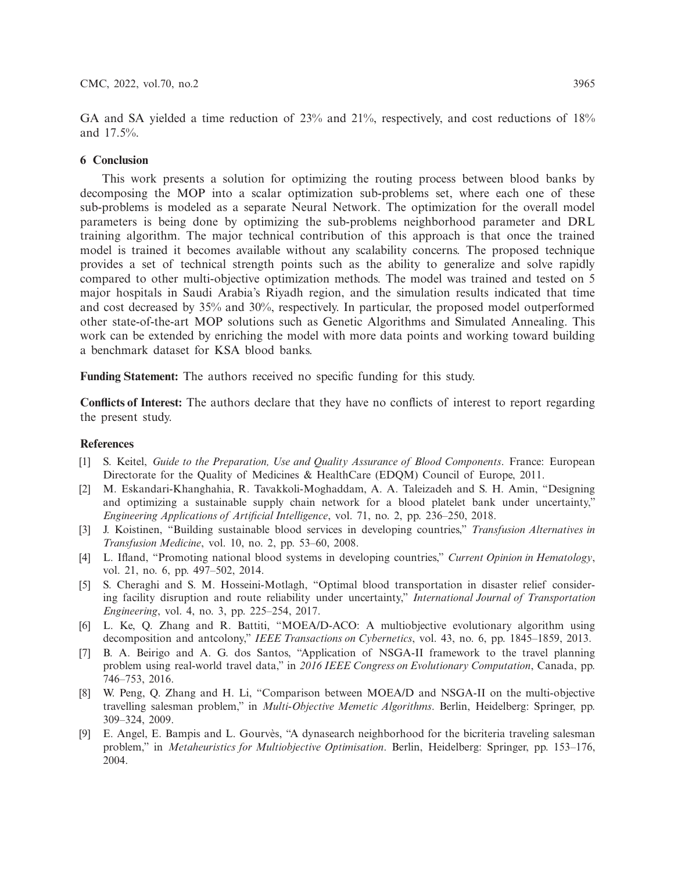GA and SA yielded a time reduction of 23% and 21%, respectively, and cost reductions of 18% and 17.5%.

## **6 Conclusion**

This work presents a solution for optimizing the routing process between blood banks by decomposing the MOP into a scalar optimization sub-problems set, where each one of these sub-problems is modeled as a separate Neural Network. The optimization for the overall model parameters is being done by optimizing the sub-problems neighborhood parameter and DRL training algorithm. The major technical contribution of this approach is that once the trained model is trained it becomes available without any scalability concerns. The proposed technique provides a set of technical strength points such as the ability to generalize and solve rapidly compared to other multi-objective optimization methods. The model was trained and tested on 5 major hospitals in Saudi Arabia's Riyadh region, and the simulation results indicated that time and cost decreased by 35% and 30%, respectively. In particular, the proposed model outperformed other state-of-the-art MOP solutions such as Genetic Algorithms and Simulated Annealing. This work can be extended by enriching the model with more data points and working toward building a benchmark dataset for KSA blood banks.

**Funding Statement:** The authors received no specific funding for this study.

**Conflicts of Interest:** The authors declare that they have no conflicts of interest to report regarding the present study.

## **References**

- <span id="page-10-0"></span>[1] S. Keitel, *Guide to the Preparation, Use and Quality Assurance of Blood Components*. France: European Directorate for the Quality of Medicines & HealthCare (EDQM) Council of Europe, 2011.
- <span id="page-10-1"></span>[2] M. Eskandari-Khanghahia, R. Tavakkoli-Moghaddam, A. A. Taleizadeh and S. H. Amin, "Designing and optimizing a sustainable supply chain network for a blood platelet bank under uncertainty," *Engineering Applications of Artificial Intelligence*, vol. 71, no. 2, pp. 236–250, 2018.
- <span id="page-10-2"></span>[3] J. Koistinen, "Building sustainable blood services in developing countries," *Transfusion Alternatives in Transfusion Medicine*, vol. 10, no. 2, pp. 53–60, 2008.
- <span id="page-10-3"></span>[4] L. Ifland, "Promoting national blood systems in developing countries," *Current Opinion in Hematology*, vol. 21, no. 6, pp. 497–502, 2014.
- <span id="page-10-4"></span>[5] S. Cheraghi and S. M. Hosseini-Motlagh, "Optimal blood transportation in disaster relief considering facility disruption and route reliability under uncertainty," *International Journal of Transportation Engineering*, vol. 4, no. 3, pp. 225–254, 2017.
- <span id="page-10-5"></span>[6] L. Ke, Q. Zhang and R. Battiti, "MOEA/D-ACO: A multiobjective evolutionary algorithm using decomposition and antcolony," *IEEE Transactions on Cybernetics*, vol. 43, no. 6, pp. 1845–1859, 2013.
- [7] B. A. Beirigo and A. G. dos Santos, "Application of NSGA-II framework to the travel planning problem using real-world travel data," in *2016 IEEE Congress on Evolutionary Computation*, Canada, pp. 746–753, 2016.
- <span id="page-10-6"></span>[8] W. Peng, Q. Zhang and H. Li, "Comparison between MOEA/D and NSGA-II on the multi-objective travelling salesman problem," in *Multi-Objective Memetic Algorithms*. Berlin, Heidelberg: Springer, pp. 309–324, 2009.
- <span id="page-10-7"></span>[9] E. Angel, E. Bampis and L. Gourvès, "A dynasearch neighborhood for the bicriteria traveling salesman problem," in *Metaheuristics for Multiobjective Optimisation*. Berlin, Heidelberg: Springer, pp. 153–176, 2004.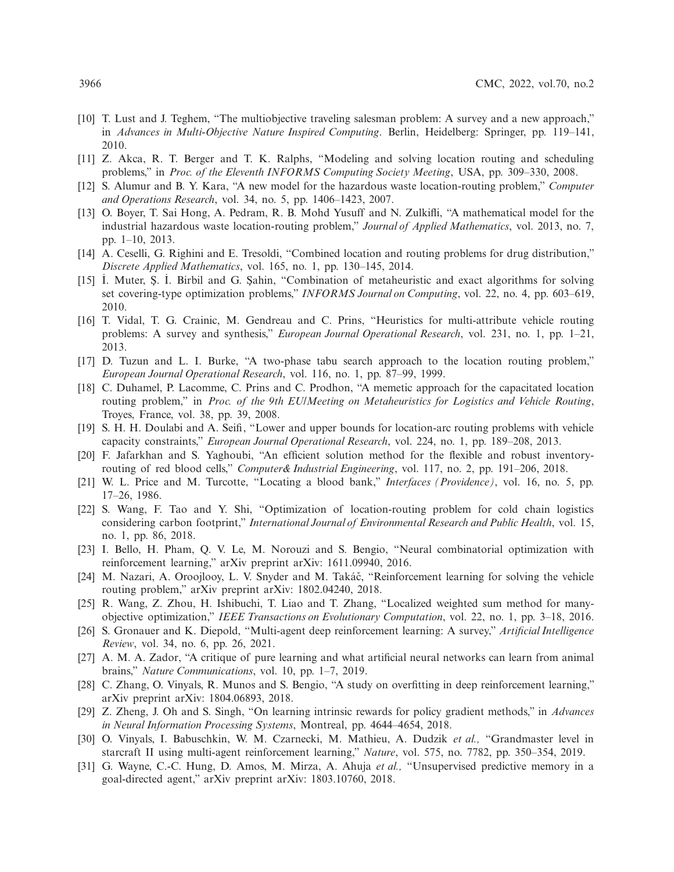- <span id="page-11-0"></span>[10] T. Lust and J. Teghem, "The multiobjective traveling salesman problem: A survey and a new approach," in *Advances in Multi-Objective Nature Inspired Computing*. Berlin, Heidelberg: Springer, pp. 119–141, 2010.
- <span id="page-11-1"></span>[11] Z. Akca, R. T. Berger and T. K. Ralphs, "Modeling and solving location routing and scheduling problems," in *Proc. of the Eleventh INFORMS Computing Society Meeting*, USA, pp. 309–330, 2008.
- <span id="page-11-2"></span>[12] S. Alumur and B. Y. Kara, "A new model for the hazardous waste location-routing problem," *Computer and Operations Research*, vol. 34, no. 5, pp. 1406–1423, 2007.
- <span id="page-11-3"></span>[13] O. Boyer, T. Sai Hong, A. Pedram, R. B. Mohd Yusuff and N. Zulkifli, "A mathematical model for the industrial hazardous waste location-routing problem," *Journal of Applied Mathematics*, vol. 2013, no. 7, pp. 1–10, 2013.
- <span id="page-11-4"></span>[14] A. Ceselli, G. Righini and E. Tresoldi, "Combined location and routing problems for drug distribution," *Discrete Applied Mathematics*, vol. 165, no. 1, pp. 130–145, 2014.
- <span id="page-11-5"></span>[15] I. Muter, Ş. I. Birbil and G. Şahin, "Combination of metaheuristic and exact algorithms for solving set covering-type optimization problems," *INFORMS Journal on Computing*, vol. 22, no. 4, pp. 603–619, 2010.
- [16] T. Vidal, T. G. Crainic, M. Gendreau and C. Prins, "Heuristics for multi-attribute vehicle routing problems: A survey and synthesis," *European Journal Operational Research*, vol. 231, no. 1, pp. 1–21, 2013.
- <span id="page-11-6"></span>[17] D. Tuzun and L. I. Burke, "A two-phase tabu search approach to the location routing problem," *European Journal Operational Research*, vol. 116, no. 1, pp. 87–99, 1999.
- <span id="page-11-7"></span>[18] C. Duhamel, P. Lacomme, C. Prins and C. Prodhon, "A memetic approach for the capacitated location routing problem," in *Proc. of the 9th EU/Meeting on Metaheuristics for Logistics and Vehicle Routing*, Troyes, France, vol. 38, pp. 39, 2008.
- <span id="page-11-8"></span>[19] S. H. H. Doulabi and A. Seifi, "Lower and upper bounds for location-arc routing problems with vehicle capacity constraints," *European Journal Operational Research*, vol. 224, no. 1, pp. 189–208, 2013.
- <span id="page-11-9"></span>[20] F. Jafarkhan and S. Yaghoubi, "An efficient solution method for the flexible and robust inventoryrouting of red blood cells," *Computer& Industrial Engineering*, vol. 117, no. 2, pp. 191–206, 2018.
- <span id="page-11-10"></span>[21] W. L. Price and M. Turcotte, "Locating a blood bank," *Interfaces (Providence)*, vol. 16, no. 5, pp. 17–26, 1986.
- <span id="page-11-11"></span>[22] S. Wang, F. Tao and Y. Shi, "Optimization of location-routing problem for cold chain logistics considering carbon footprint," *International Journal of Environmental Research and Public Health*, vol. 15, no. 1, pp. 86, 2018.
- <span id="page-11-12"></span>[23] I. Bello, H. Pham, Q. V. Le, M. Norouzi and S. Bengio, "Neural combinatorial optimization with reinforcement learning," arXiv preprint arXiv: 1611.09940, 2016.
- <span id="page-11-13"></span>[24] M. Nazari, A. Oroojlooy, L. V. Snyder and M. Takáč, "Reinforcement learning for solving the vehicle routing problem," arXiv preprint arXiv: 1802.04240, 2018.
- <span id="page-11-14"></span>[25] R. Wang, Z. Zhou, H. Ishibuchi, T. Liao and T. Zhang, "Localized weighted sum method for manyobjective optimization," *IEEE Transactions on Evolutionary Computation*, vol. 22, no. 1, pp. 3–18, 2016.
- [26] S. Gronauer and K. Diepold, "Multi-agent deep reinforcement learning: A survey," *Artificial Intelligence Review*, vol. 34, no. 6, pp. 26, 2021.
- [27] A. M. A. Zador, "A critique of pure learning and what artificial neural networks can learn from animal brains," *Nature Communications*, vol. 10, pp. 1–7, 2019.
- <span id="page-11-15"></span>[28] C. Zhang, O. Vinyals, R. Munos and S. Bengio, "A study on overfitting in deep reinforcement learning," arXiv preprint arXiv: 1804.06893, 2018.
- <span id="page-11-16"></span>[29] Z. Zheng, J. Oh and S. Singh, "On learning intrinsic rewards for policy gradient methods," in *Advances in Neural Information Processing Systems*, Montreal, pp. 4644–4654, 2018.
- <span id="page-11-17"></span>[30] O. Vinyals, I. Babuschkin, W. M. Czarnecki, M. Mathieu, A. Dudzik *et al.,* "Grandmaster level in starcraft II using multi-agent reinforcement learning," *Nature*, vol. 575, no. 7782, pp. 350–354, 2019.
- <span id="page-11-18"></span>[31] G. Wayne, C.-C. Hung, D. Amos, M. Mirza, A. Ahuja *et al.,* "Unsupervised predictive memory in a goal-directed agent," arXiv preprint arXiv: 1803.10760, 2018.